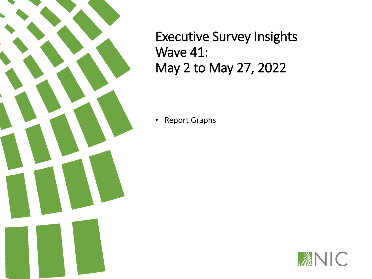Executive Survey Insights Wave 41: May 2 to May 27, 2022

• Report Graphs

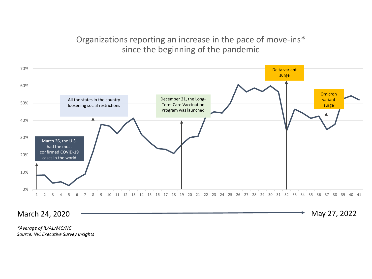### Organizations reporting an increase in the pace of move-ins\* since the beginning of the pandemic



March 24, 2020 – **March 24, 2022** May 27, 2022

*\*Average of IL/AL/MC/NC Source: NIC Executive Survey Insights*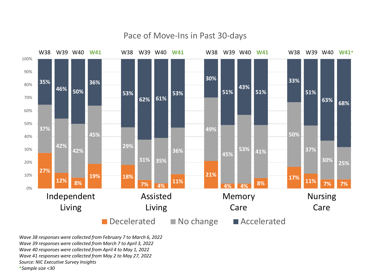

#### Pace of Move-Ins in Past 30-days

*Wave 38 responses were collected from February 7 to March 6, 2022 Wave 39 responses were collected from March 7 to April 3, 2022 Wave 40 responses were collected from April 4 to May 1, 2022 Wave 41 responses were collected from May 2 to May 27, 2022 Source: NIC Executive Survey Insights* **\****Sample size <30*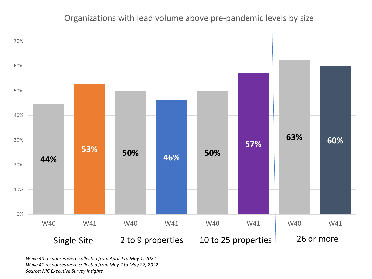### Organizations with lead volume above pre-pandemic levels by size



*Wave 40 responses were collected from April 4 to May 1, 2022 Wave 41 responses were collected from May 2 to May 27, 2022 Source: NIC Executive Survey Insights*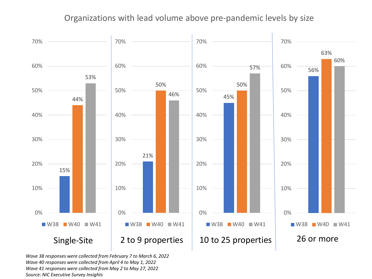### Organizations with lead volume above pre-pandemic levels by size



*Wave 38 responses were collected from February 7 to March 6, 2022 Wave 40 responses were collected from April 4 to May 1, 2022 Wave 41 responses were collected from May 2 to May 27, 2022 Source: NIC Executive Survey Insights*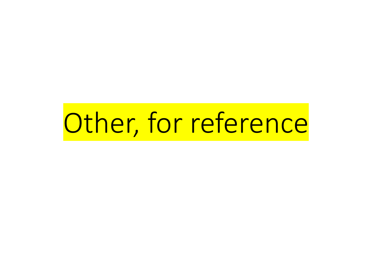# Other, for reference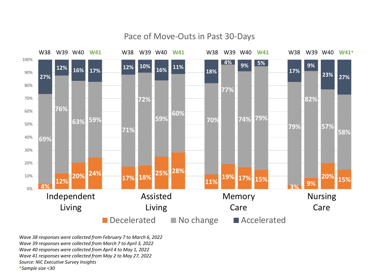

Pace of Move-Outs in Past 30-Days

*Wave 38 responses were collected from February 7 to March 6, 2022 Wave 39 responses were collected from March 7 to April 3, 2022 Wave 40 responses were collected from April 4 to May 1, 2022 Wave 41 responses were collected from May 2 to May 27, 2022 Source: NIC Executive Survey Insights* **\****Sample size <30*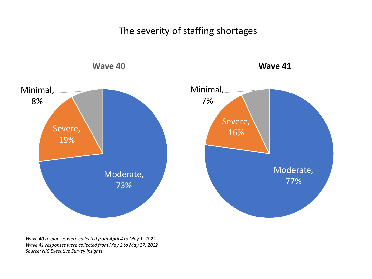The severity of staffing shortages

![](_page_7_Figure_1.jpeg)

*Wave 40 responses were collected from April 4 to May 1, 2022 Wave 41 responses were collected from May 2 to May 27, 2022 Source: NIC Executive Survey Insights*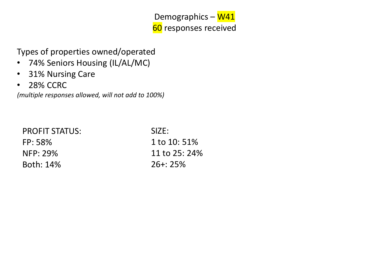Demographics - W41 60 responses received

Types of properties owned/operated

- 74% Seniors Housing (IL/AL/MC)
- 31% Nursing Care
- 28% CCRC

*(multiple responses allowed, will not add to 100%)*

| <b>PROFIT STATUS:</b> | SIZE:         |
|-----------------------|---------------|
| FP: 58%               | 1 to 10:51%   |
| NFP: 29%              | 11 to 25: 24% |
| Both: 14%             | $26 + 25%$    |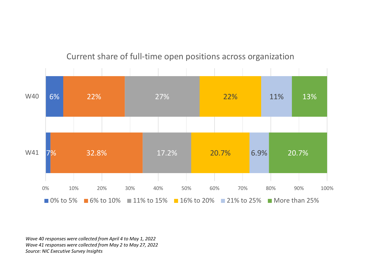![](_page_9_Figure_0.jpeg)

### Current share of full-time open positions across organization

*Wave 40 responses were collected from April 4 to May 1, 2022 Wave 41 responses were collected from May 2 to May 27, 2022 Source: NIC Executive Survey Insights*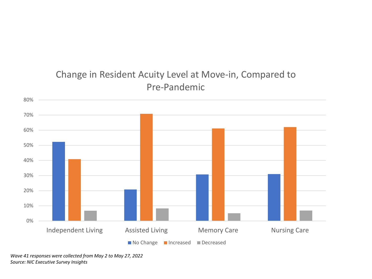## Change in Resident Acuity Level at Move-in, Compared to Pre-Pandemic

![](_page_10_Figure_1.jpeg)

*Wave 41 responses were collected from May 2 to May 27, 2022 Source: NIC Executive Survey Insights*